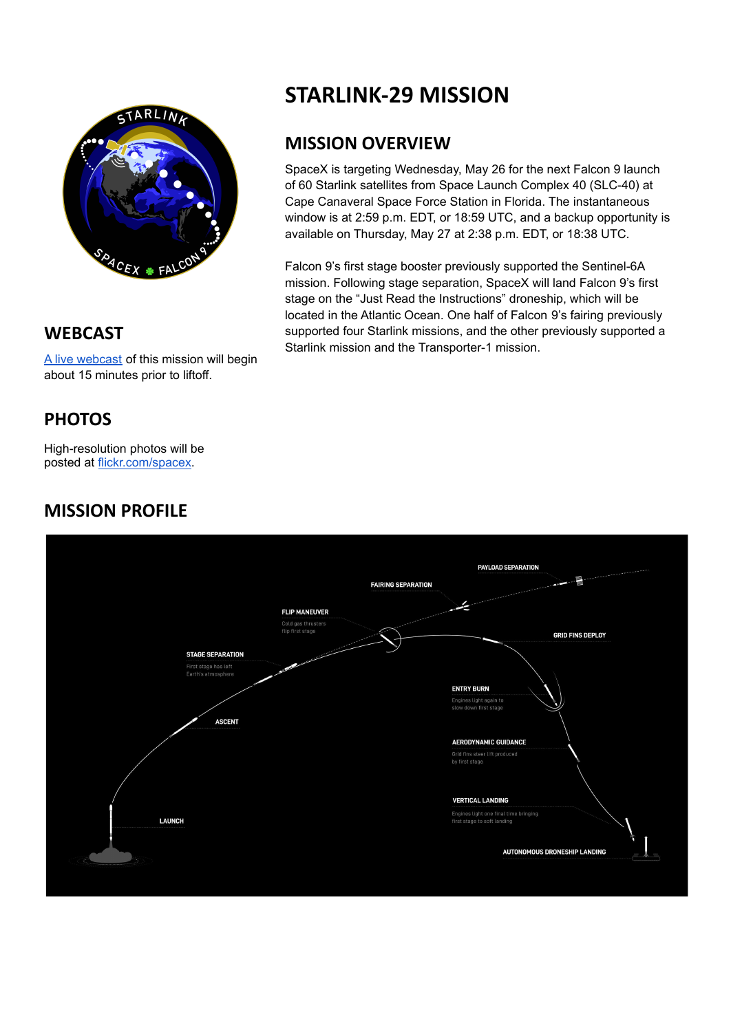

**WEBCAST**

A live [webcast](https://www.youtube.com/watch?v=xRu-ekesDyY) of this mission will begin about 15 minutes prior to liftoff.

# **PHOTOS**

High-resolution photos will be posted at [flickr.com/spacex](https://www.flickr.com/spacex/).

### **MISSION PROFILE**



#### **MISSION OVERVIEW**

SpaceX is targeting Wednesday, May 26 for the next Falcon 9 launch of 60 Starlink satellites from Space Launch Complex 40 (SLC-40) at Cape Canaveral Space Force Station in Florida. The instantaneous window is at 2:59 p.m. EDT, or 18:59 UTC, and a backup opportunity is available on Thursday, May 27 at 2:38 p.m. EDT, or 18:38 UTC.

Falcon 9's first stage booster previously supported the Sentinel-6A mission. Following stage separation, SpaceX will land Falcon 9's first stage on the "Just Read the Instructions" droneship, which will be located in the Atlantic Ocean. One half of Falcon 9's fairing previously supported four Starlink missions, and the other previously supported a Starlink mission and the Transporter-1 mission.